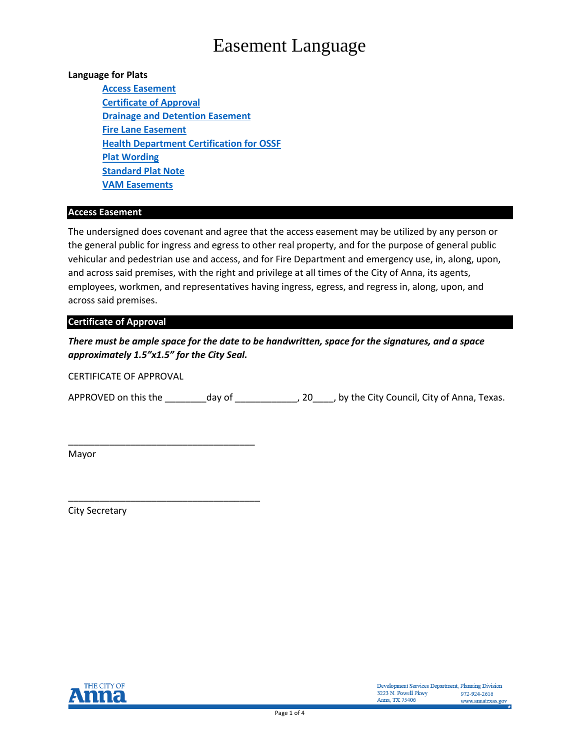# Easement Language

## **Language for Plats**

**[Access Easement](#page-0-0) [Certificate of Approval](#page-0-1) [Drainage and Detention](#page-0-2) Easement [Fire Lane Easement](#page-1-0) [Health Department Certification for OSSF](#page-1-1) [Plat Wording](#page-2-0) [Standard Plat Note](#page-2-0) [VAM Easements](#page-2-1)**

#### <span id="page-0-0"></span>**Access Easement**

The undersigned does covenant and agree that the access easement may be utilized by any person or the general public for ingress and egress to other real property, and for the purpose of general public vehicular and pedestrian use and access, and for Fire Department and emergency use, in, along, upon, and across said premises, with the right and privilege at all times of the City of Anna, its agents, employees, workmen, and representatives having ingress, egress, and regress in, along, upon, and across said premises.

### <span id="page-0-1"></span>**Certificate of Approval**

*There must be ample space for the date to be handwritten, space for the signatures, and a space approximately 1.5"x1.5" for the City Seal.* 

CERTIFICATE OF APPROVAL

\_\_\_\_\_\_\_\_\_\_\_\_\_\_\_\_\_\_\_\_\_\_\_\_\_\_\_\_\_\_\_\_\_\_\_\_

\_\_\_\_\_\_\_\_\_\_\_\_\_\_\_\_\_\_\_\_\_\_\_\_\_\_\_\_\_\_\_\_\_\_\_\_\_

APPROVED on this the \_\_\_\_\_\_\_\_\_day of \_\_\_\_\_\_\_\_\_\_\_\_\_\_, 20\_\_\_\_\_, by the City Council, City of Anna, Texas.

Mayor

<span id="page-0-2"></span>City Secretary

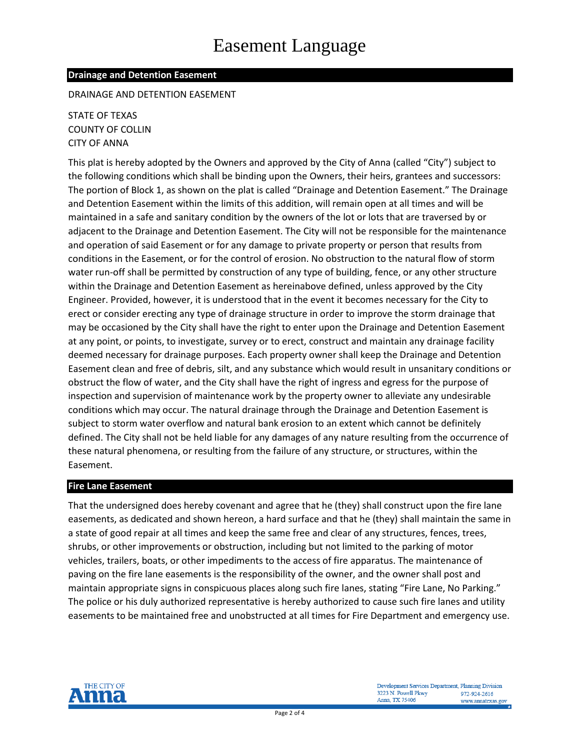# **Drainage and Detention Easement**

DRAINAGE AND DETENTION EASEMENT

STATE OF TEXAS COUNTY OF COLLIN CITY OF ANNA

This plat is hereby adopted by the Owners and approved by the City of Anna (called "City") subject to the following conditions which shall be binding upon the Owners, their heirs, grantees and successors: The portion of Block 1, as shown on the plat is called "Drainage and Detention Easement." The Drainage and Detention Easement within the limits of this addition, will remain open at all times and will be maintained in a safe and sanitary condition by the owners of the lot or lots that are traversed by or adjacent to the Drainage and Detention Easement. The City will not be responsible for the maintenance and operation of said Easement or for any damage to private property or person that results from conditions in the Easement, or for the control of erosion. No obstruction to the natural flow of storm water run-off shall be permitted by construction of any type of building, fence, or any other structure within the Drainage and Detention Easement as hereinabove defined, unless approved by the City Engineer. Provided, however, it is understood that in the event it becomes necessary for the City to erect or consider erecting any type of drainage structure in order to improve the storm drainage that may be occasioned by the City shall have the right to enter upon the Drainage and Detention Easement at any point, or points, to investigate, survey or to erect, construct and maintain any drainage facility deemed necessary for drainage purposes. Each property owner shall keep the Drainage and Detention Easement clean and free of debris, silt, and any substance which would result in unsanitary conditions or obstruct the flow of water, and the City shall have the right of ingress and egress for the purpose of inspection and supervision of maintenance work by the property owner to alleviate any undesirable conditions which may occur. The natural drainage through the Drainage and Detention Easement is subject to storm water overflow and natural bank erosion to an extent which cannot be definitely defined. The City shall not be held liable for any damages of any nature resulting from the occurrence of these natural phenomena, or resulting from the failure of any structure, or structures, within the Easement.

# <span id="page-1-0"></span>**Fire Lane Easement**

That the undersigned does hereby covenant and agree that he (they) shall construct upon the fire lane easements, as dedicated and shown hereon, a hard surface and that he (they) shall maintain the same in a state of good repair at all times and keep the same free and clear of any structures, fences, trees, shrubs, or other improvements or obstruction, including but not limited to the parking of motor vehicles, trailers, boats, or other impediments to the access of fire apparatus. The maintenance of paving on the fire lane easements is the responsibility of the owner, and the owner shall post and maintain appropriate signs in conspicuous places along such fire lanes, stating "Fire Lane, No Parking." The police or his duly authorized representative is hereby authorized to cause such fire lanes and utility easements to be maintained free and unobstructed at all times for Fire Department and emergency use.

<span id="page-1-1"></span>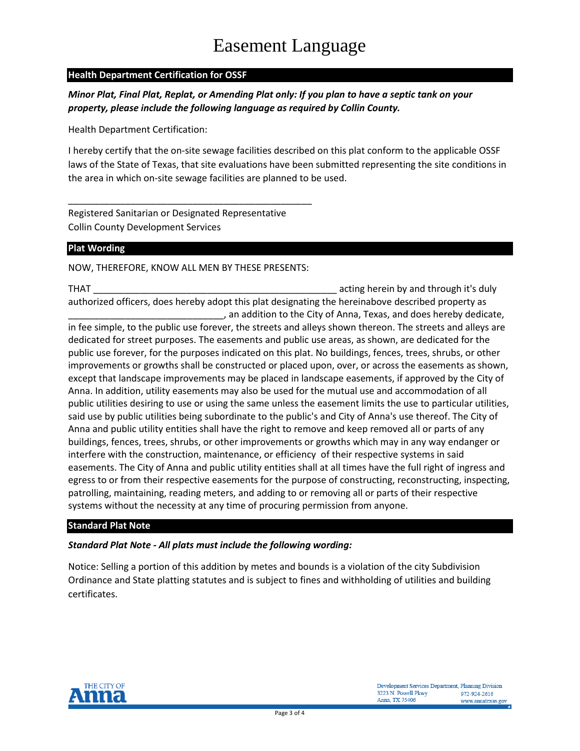# **Health Department Certification for OSSF**

*Minor Plat, Final Plat, Replat, or Amending Plat only: If you plan to have a septic tank on your property, please include the following language as required by Collin County.*

Health Department Certification:

I hereby certify that the on-site sewage facilities described on this plat conform to the applicable OSSF laws of the State of Texas, that site evaluations have been submitted representing the site conditions in the area in which on-site sewage facilities are planned to be used.

Registered Sanitarian or Designated Representative Collin County Development Services

# <span id="page-2-0"></span>**Plat Wording**

NOW, THEREFORE, KNOW ALL MEN BY THESE PRESENTS:

\_\_\_\_\_\_\_\_\_\_\_\_\_\_\_\_\_\_\_\_\_\_\_\_\_\_\_\_\_\_\_\_\_\_\_\_\_\_\_\_\_\_\_\_\_\_\_

THAT **THAT EXECUTE 2** 2014 12:30 THAT authorized officers, does hereby adopt this plat designating the hereinabove described property as , an addition to the City of Anna, Texas, and does hereby dedicate,

in fee simple, to the public use forever, the streets and alleys shown thereon. The streets and alleys are dedicated for street purposes. The easements and public use areas, as shown, are dedicated for the public use forever, for the purposes indicated on this plat. No buildings, fences, trees, shrubs, or other improvements or growths shall be constructed or placed upon, over, or across the easements as shown, except that landscape improvements may be placed in landscape easements, if approved by the City of Anna. In addition, utility easements may also be used for the mutual use and accommodation of all public utilities desiring to use or using the same unless the easement limits the use to particular utilities, said use by public utilities being subordinate to the public's and City of Anna's use thereof. The City of Anna and public utility entities shall have the right to remove and keep removed all or parts of any buildings, fences, trees, shrubs, or other improvements or growths which may in any way endanger or interfere with the construction, maintenance, or efficiency of their respective systems in said easements. The City of Anna and public utility entities shall at all times have the full right of ingress and egress to or from their respective easements for the purpose of constructing, reconstructing, inspecting, patrolling, maintaining, reading meters, and adding to or removing all or parts of their respective systems without the necessity at any time of procuring permission from anyone.

# **Standard Plat Note**

# *Standard Plat Note - All plats must include the following wording:*

<span id="page-2-1"></span>Notice: Selling a portion of this addition by metes and bounds is a violation of the city Subdivision Ordinance and State platting statutes and is subject to fines and withholding of utilities and building certificates.